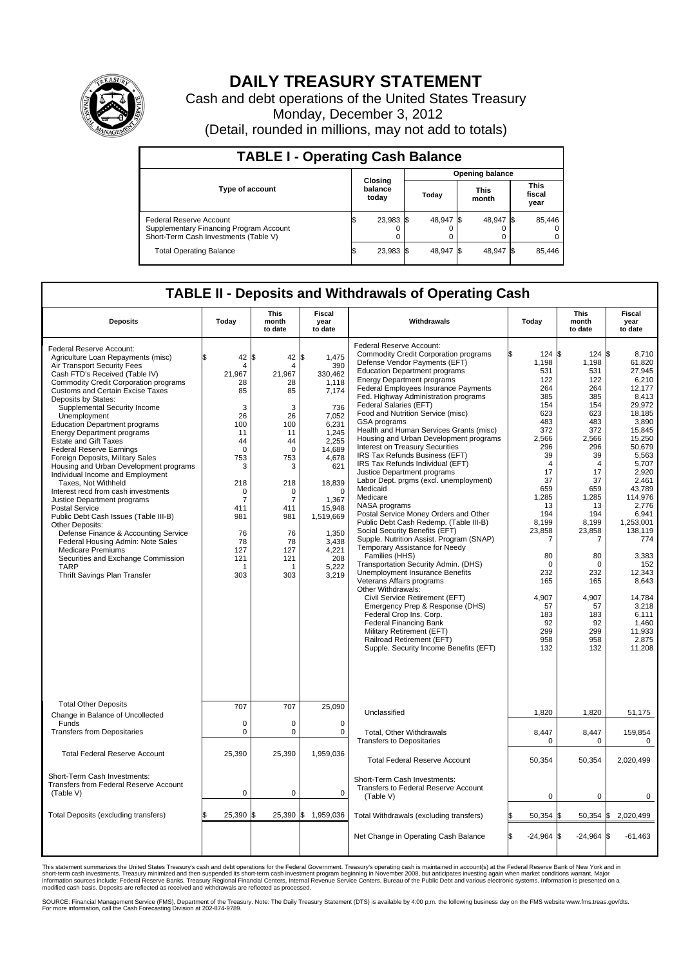

## **DAILY TREASURY STATEMENT**

Cash and debt operations of the United States Treasury Monday, December 3, 2012 (Detail, rounded in millions, may not add to totals)

| <b>TABLE I - Operating Cash Balance</b>                                                                     |                             |           |  |                        |  |                      |      |                               |  |  |  |
|-------------------------------------------------------------------------------------------------------------|-----------------------------|-----------|--|------------------------|--|----------------------|------|-------------------------------|--|--|--|
|                                                                                                             | Closing<br>balance<br>today |           |  | <b>Opening balance</b> |  |                      |      |                               |  |  |  |
| <b>Type of account</b>                                                                                      |                             |           |  | Today                  |  | <b>This</b><br>month |      | <b>This</b><br>fiscal<br>year |  |  |  |
| Federal Reserve Account<br>Supplementary Financing Program Account<br>Short-Term Cash Investments (Table V) |                             | 23,983 \$ |  | 48,947 \$              |  | 48,947 \$<br>0       |      | 85,446                        |  |  |  |
| <b>Total Operating Balance</b>                                                                              |                             | 23,983 \$ |  | 48,947 \$              |  | 48,947               | - IS | 85,446                        |  |  |  |

## **TABLE II - Deposits and Withdrawals of Operating Cash**

| <b>Deposits</b>                                                                                                                                                                                                                                                                                                                                                                                                                                                                                                                                                                                                                                                                                                                                                                                                                                                                                                                              | Todav                                                                                                                                                                                       | <b>This</b><br>month<br>to date                                                                                                                                                                                  | Fiscal<br>vear<br>to date                                                                                                                                                                                                      | Withdrawals                                                                                                                                                                                                                                                                                                                                                                                                                                                                                                                                                                                                                                                                                                                                                                                                                                                                                                                                                                                                                                                                                                                                                                                                                                                                 | Todav                                                                                                                                                                                                                                                           | This<br>month<br>to date                                                                                                                                                                                                                                                  | Fiscal<br>vear<br>to date                                                                                                                                                                                                                                                                                                       |  |  |
|----------------------------------------------------------------------------------------------------------------------------------------------------------------------------------------------------------------------------------------------------------------------------------------------------------------------------------------------------------------------------------------------------------------------------------------------------------------------------------------------------------------------------------------------------------------------------------------------------------------------------------------------------------------------------------------------------------------------------------------------------------------------------------------------------------------------------------------------------------------------------------------------------------------------------------------------|---------------------------------------------------------------------------------------------------------------------------------------------------------------------------------------------|------------------------------------------------------------------------------------------------------------------------------------------------------------------------------------------------------------------|--------------------------------------------------------------------------------------------------------------------------------------------------------------------------------------------------------------------------------|-----------------------------------------------------------------------------------------------------------------------------------------------------------------------------------------------------------------------------------------------------------------------------------------------------------------------------------------------------------------------------------------------------------------------------------------------------------------------------------------------------------------------------------------------------------------------------------------------------------------------------------------------------------------------------------------------------------------------------------------------------------------------------------------------------------------------------------------------------------------------------------------------------------------------------------------------------------------------------------------------------------------------------------------------------------------------------------------------------------------------------------------------------------------------------------------------------------------------------------------------------------------------------|-----------------------------------------------------------------------------------------------------------------------------------------------------------------------------------------------------------------------------------------------------------------|---------------------------------------------------------------------------------------------------------------------------------------------------------------------------------------------------------------------------------------------------------------------------|---------------------------------------------------------------------------------------------------------------------------------------------------------------------------------------------------------------------------------------------------------------------------------------------------------------------------------|--|--|
| Federal Reserve Account:<br>Agriculture Loan Repayments (misc)<br>Air Transport Security Fees<br>Cash FTD's Received (Table IV)<br><b>Commodity Credit Corporation programs</b><br><b>Customs and Certain Excise Taxes</b><br>Deposits by States:<br>Supplemental Security Income<br>Unemployment<br><b>Education Department programs</b><br><b>Energy Department programs</b><br><b>Estate and Gift Taxes</b><br><b>Federal Reserve Earnings</b><br>Foreign Deposits, Military Sales<br>Housing and Urban Development programs<br>Individual Income and Employment<br>Taxes, Not Withheld<br>Interest recd from cash investments<br>Justice Department programs<br>Postal Service<br>Public Debt Cash Issues (Table III-B)<br>Other Deposits:<br>Defense Finance & Accounting Service<br>Federal Housing Admin: Note Sales<br><b>Medicare Premiums</b><br>Securities and Exchange Commission<br><b>TARP</b><br>Thrift Savings Plan Transfer | 42<br>4<br>21,967<br>28<br>85<br>3<br>26<br>100<br>11<br>44<br>$\Omega$<br>753<br>3<br>218<br>0<br>$\overline{7}$<br>411<br>981<br>76<br>78<br>127<br>121<br>$\overline{\mathbf{1}}$<br>303 | l\$<br>42<br>$\overline{4}$<br>21,967<br>28<br>85<br>3<br>26<br>100<br>11<br>44<br>$\mathbf 0$<br>753<br>3<br>218<br>$\mathbf 0$<br>$\overline{7}$<br>411<br>981<br>76<br>78<br>127<br>121<br>$\mathbf 1$<br>303 | \$<br>1,475<br>390<br>330,462<br>1,118<br>7,174<br>736<br>7,052<br>6.231<br>1,245<br>2,255<br>14,689<br>4,678<br>621<br>18,839<br>$\Omega$<br>1,367<br>15,948<br>1,519,669<br>1.350<br>3,438<br>4,221<br>208<br>5,222<br>3,219 | Federal Reserve Account:<br><b>Commodity Credit Corporation programs</b><br>Defense Vendor Payments (EFT)<br><b>Education Department programs</b><br><b>Energy Department programs</b><br>Federal Employees Insurance Payments<br>Fed. Highway Administration programs<br>Federal Salaries (EFT)<br>Food and Nutrition Service (misc)<br>GSA programs<br>Health and Human Services Grants (misc)<br>Housing and Urban Development programs<br><b>Interest on Treasury Securities</b><br>IRS Tax Refunds Business (EFT)<br>IRS Tax Refunds Individual (EFT)<br>Justice Department programs<br>Labor Dept. prgms (excl. unemployment)<br>Medicaid<br>Medicare<br>NASA programs<br>Postal Service Money Orders and Other<br>Public Debt Cash Redemp. (Table III-B)<br>Social Security Benefits (EFT)<br>Supple. Nutrition Assist. Program (SNAP)<br>Temporary Assistance for Needy<br>Families (HHS)<br>Transportation Security Admin. (DHS)<br><b>Unemployment Insurance Benefits</b><br>Veterans Affairs programs<br>Other Withdrawals:<br>Civil Service Retirement (EFT)<br>Emergency Prep & Response (DHS)<br>Federal Crop Ins. Corp.<br><b>Federal Financing Bank</b><br>Military Retirement (EFT)<br>Railroad Retirement (EFT)<br>Supple. Security Income Benefits (EFT) | 124S<br>1,198<br>531<br>122<br>264<br>385<br>154<br>623<br>483<br>372<br>2,566<br>296<br>39<br>$\overline{4}$<br>17<br>37<br>659<br>1,285<br>13<br>194<br>8,199<br>23,858<br>7<br>80<br>$\Omega$<br>232<br>165<br>4.907<br>57<br>183<br>92<br>299<br>958<br>132 | $124$ \$<br>1,198<br>531<br>122<br>264<br>385<br>154<br>623<br>483<br>372<br>2,566<br>296<br>39<br>$\overline{4}$<br>17<br>37<br>659<br>1,285<br>13<br>194<br>8,199<br>23,858<br>$\overline{7}$<br>80<br>0<br>232<br>165<br>4.907<br>57<br>183<br>92<br>299<br>958<br>132 | 8,710<br>61,820<br>27.945<br>6.210<br>12.177<br>8,413<br>29.972<br>18,185<br>3,890<br>15.845<br>15,250<br>50.679<br>5,563<br>5,707<br>2,920<br>2.461<br>43,789<br>114,976<br>2,776<br>6,941<br>1,253,001<br>138,119<br>774<br>3,383<br>152<br>12,343<br>8,643<br>14.784<br>3,218<br>6,111<br>1,460<br>11,933<br>2,875<br>11,208 |  |  |
| <b>Total Other Deposits</b><br>Change in Balance of Uncollected                                                                                                                                                                                                                                                                                                                                                                                                                                                                                                                                                                                                                                                                                                                                                                                                                                                                              | 707                                                                                                                                                                                         | 707                                                                                                                                                                                                              | 25,090                                                                                                                                                                                                                         | Unclassified                                                                                                                                                                                                                                                                                                                                                                                                                                                                                                                                                                                                                                                                                                                                                                                                                                                                                                                                                                                                                                                                                                                                                                                                                                                                | 1,820                                                                                                                                                                                                                                                           | 1.820                                                                                                                                                                                                                                                                     | 51,175                                                                                                                                                                                                                                                                                                                          |  |  |
| Funds<br><b>Transfers from Depositaries</b>                                                                                                                                                                                                                                                                                                                                                                                                                                                                                                                                                                                                                                                                                                                                                                                                                                                                                                  | 0<br>0                                                                                                                                                                                      | 0<br>$\pmb{0}$                                                                                                                                                                                                   | $\mathbf 0$<br>$\mathbf 0$                                                                                                                                                                                                     | Total, Other Withdrawals<br><b>Transfers to Depositaries</b>                                                                                                                                                                                                                                                                                                                                                                                                                                                                                                                                                                                                                                                                                                                                                                                                                                                                                                                                                                                                                                                                                                                                                                                                                | 8,447<br>$\mathbf 0$                                                                                                                                                                                                                                            | 8,447<br>0                                                                                                                                                                                                                                                                | 159,854<br>0                                                                                                                                                                                                                                                                                                                    |  |  |
| <b>Total Federal Reserve Account</b>                                                                                                                                                                                                                                                                                                                                                                                                                                                                                                                                                                                                                                                                                                                                                                                                                                                                                                         | 25,390                                                                                                                                                                                      | 25,390                                                                                                                                                                                                           | 1,959,036                                                                                                                                                                                                                      | <b>Total Federal Reserve Account</b>                                                                                                                                                                                                                                                                                                                                                                                                                                                                                                                                                                                                                                                                                                                                                                                                                                                                                                                                                                                                                                                                                                                                                                                                                                        | 50,354                                                                                                                                                                                                                                                          | 50,354                                                                                                                                                                                                                                                                    | 2,020,499                                                                                                                                                                                                                                                                                                                       |  |  |
| Short-Term Cash Investments:<br><b>Transfers from Federal Reserve Account</b><br>(Table V)                                                                                                                                                                                                                                                                                                                                                                                                                                                                                                                                                                                                                                                                                                                                                                                                                                                   | 0                                                                                                                                                                                           | $\mathbf 0$                                                                                                                                                                                                      | $\mathbf 0$                                                                                                                                                                                                                    | Short-Term Cash Investments:<br>Transfers to Federal Reserve Account<br>(Table V)                                                                                                                                                                                                                                                                                                                                                                                                                                                                                                                                                                                                                                                                                                                                                                                                                                                                                                                                                                                                                                                                                                                                                                                           | $\mathbf 0$                                                                                                                                                                                                                                                     | 0                                                                                                                                                                                                                                                                         | $\mathbf 0$                                                                                                                                                                                                                                                                                                                     |  |  |
| Total Deposits (excluding transfers)                                                                                                                                                                                                                                                                                                                                                                                                                                                                                                                                                                                                                                                                                                                                                                                                                                                                                                         | 25,390 \$                                                                                                                                                                                   | 25,390 \$                                                                                                                                                                                                        | 1,959,036                                                                                                                                                                                                                      | Total Withdrawals (excluding transfers)                                                                                                                                                                                                                                                                                                                                                                                                                                                                                                                                                                                                                                                                                                                                                                                                                                                                                                                                                                                                                                                                                                                                                                                                                                     | 50,354                                                                                                                                                                                                                                                          | $50,354$ $\sqrt{3}$                                                                                                                                                                                                                                                       | 2,020,499                                                                                                                                                                                                                                                                                                                       |  |  |
|                                                                                                                                                                                                                                                                                                                                                                                                                                                                                                                                                                                                                                                                                                                                                                                                                                                                                                                                              |                                                                                                                                                                                             |                                                                                                                                                                                                                  |                                                                                                                                                                                                                                | Net Change in Operating Cash Balance                                                                                                                                                                                                                                                                                                                                                                                                                                                                                                                                                                                                                                                                                                                                                                                                                                                                                                                                                                                                                                                                                                                                                                                                                                        | \$.<br>$-24,964$ \$                                                                                                                                                                                                                                             | $-24,964$ \$                                                                                                                                                                                                                                                              | $-61.463$                                                                                                                                                                                                                                                                                                                       |  |  |

This statement summarizes the United States Treasury's cash and debt operations for the Federal Government. Treasury's operating cash is maintained in account(s) at the Federal Reserve Bank of New York and in<br>short-term ca

SOURCE: Financial Management Service (FMS), Department of the Treasury. Note: The Daily Treasury Statement (DTS) is available by 4:00 p.m. the following business day on the FMS website www.fms.treas.gov/dts.<br>For more infor